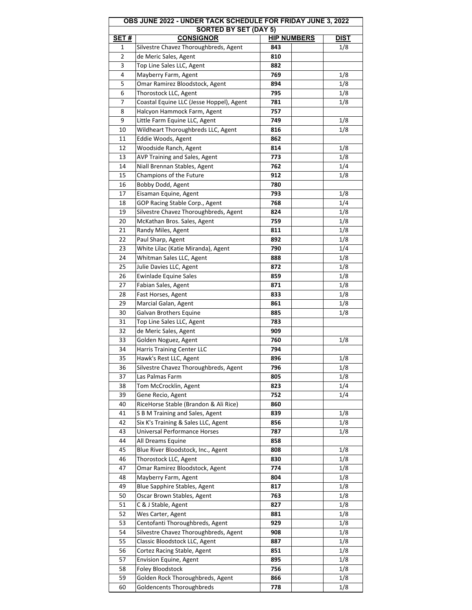| OBS JUNE 2022 - UNDER TACK SCHEDULE FOR FRIDAY JUNE 3, 2022 |                                          |                    |             |  |  |
|-------------------------------------------------------------|------------------------------------------|--------------------|-------------|--|--|
| <b>SORTED BY SET (DAY 5)</b>                                |                                          |                    |             |  |  |
| <b>SET#</b>                                                 | <b>CONSIGNOR</b>                         | <b>HIP NUMBERS</b> | <b>DIST</b> |  |  |
| 1                                                           | Silvestre Chavez Thoroughbreds, Agent    | 843                | 1/8         |  |  |
| 2                                                           | de Meric Sales, Agent                    | 810                |             |  |  |
| 3                                                           | Top Line Sales LLC, Agent                | 882                |             |  |  |
| 4                                                           | Mayberry Farm, Agent                     | 769                | 1/8         |  |  |
| 5                                                           | Omar Ramirez Bloodstock, Agent           | 894                | 1/8         |  |  |
| 6                                                           | Thorostock LLC, Agent                    | 795                | 1/8         |  |  |
| 7                                                           | Coastal Equine LLC (Jesse Hoppel), Agent | 781                | 1/8         |  |  |
| 8                                                           | Halcyon Hammock Farm, Agent              | 757                |             |  |  |
| 9                                                           | Little Farm Equine LLC, Agent            | 749                | 1/8         |  |  |
| 10                                                          | Wildheart Thoroughbreds LLC, Agent       | 816                | 1/8         |  |  |
| 11                                                          | Eddie Woods, Agent                       | 862                |             |  |  |
| 12                                                          | Woodside Ranch, Agent                    | 814                | 1/8         |  |  |
| 13                                                          | AVP Training and Sales, Agent            | 773                | 1/8         |  |  |
| 14                                                          | Niall Brennan Stables, Agent             | 762                | 1/4         |  |  |
| 15                                                          | Champions of the Future                  | 912                | 1/8         |  |  |
| 16                                                          | Bobby Dodd, Agent                        | 780                |             |  |  |
|                                                             |                                          |                    |             |  |  |
| 17                                                          | Eisaman Equine, Agent                    | 793                | 1/8         |  |  |
| 18                                                          | GOP Racing Stable Corp., Agent           | 768                | 1/4         |  |  |
| 19                                                          | Silvestre Chavez Thoroughbreds, Agent    | 824                | 1/8         |  |  |
| 20                                                          | McKathan Bros. Sales, Agent              | 759                | 1/8         |  |  |
| 21                                                          | Randy Miles, Agent                       | 811                | 1/8         |  |  |
| 22                                                          | Paul Sharp, Agent                        | 892                | 1/8         |  |  |
| 23                                                          | White Lilac (Katie Miranda), Agent       | 790                | 1/4         |  |  |
| 24                                                          | Whitman Sales LLC, Agent                 | 888                | 1/8         |  |  |
| 25                                                          | Julie Davies LLC, Agent                  | 872                | 1/8         |  |  |
| 26                                                          | <b>Ewinlade Equine Sales</b>             | 859                | 1/8         |  |  |
| 27                                                          | Fabian Sales, Agent                      | 871                | 1/8         |  |  |
| 28                                                          | Fast Horses, Agent                       | 833                | 1/8         |  |  |
| 29                                                          | Marcial Galan, Agent                     | 861                | 1/8         |  |  |
| 30                                                          | Galvan Brothers Equine                   | 885                | 1/8         |  |  |
| 31                                                          | Top Line Sales LLC, Agent                | 783                |             |  |  |
| 32                                                          | de Meric Sales, Agent                    | 909                |             |  |  |
| 33                                                          | Golden Noguez, Agent                     | 760                | 1/8         |  |  |
| 34                                                          | Harris Training Center LLC               | 794                |             |  |  |
| 35                                                          | Hawk's Rest LLC, Agent                   | 896                | 1/8         |  |  |
| 36                                                          | Silvestre Chavez Thoroughbreds, Agent    | 796                | 1/8         |  |  |
| 37                                                          | Las Palmas Farm                          | 805                | 1/8         |  |  |
| 38                                                          | Tom McCrocklin, Agent                    | 823                | 1/4         |  |  |
| 39                                                          | Gene Recio, Agent                        | 752                | 1/4         |  |  |
|                                                             |                                          |                    |             |  |  |
| 40                                                          | RiceHorse Stable (Brandon & Ali Rice)    | 860                |             |  |  |
| 41                                                          | S B M Training and Sales, Agent          | 839                | 1/8         |  |  |
| 42                                                          | Six K's Training & Sales LLC, Agent      | 856                | 1/8         |  |  |
| 43                                                          | <b>Universal Performance Horses</b>      | 787                | 1/8         |  |  |
| 44                                                          | All Dreams Equine                        | 858                |             |  |  |
| 45                                                          | Blue River Bloodstock, Inc., Agent       | 808                | 1/8         |  |  |
| 46                                                          | Thorostock LLC, Agent                    | 830                | 1/8         |  |  |
| 47                                                          | Omar Ramirez Bloodstock, Agent           | 774                | 1/8         |  |  |
| 48                                                          | Mayberry Farm, Agent                     | 804                | 1/8         |  |  |
| 49                                                          | <b>Blue Sapphire Stables, Agent</b>      | 817                | 1/8         |  |  |
| 50                                                          | Oscar Brown Stables, Agent               | 763                | 1/8         |  |  |
| 51                                                          | C & J Stable, Agent                      | 827                | 1/8         |  |  |
| 52                                                          | Wes Carter, Agent                        | 881                | 1/8         |  |  |
| 53                                                          | Centofanti Thoroughbreds, Agent          | 929                | 1/8         |  |  |
| 54                                                          | Silvestre Chavez Thoroughbreds, Agent    | 908                | 1/8         |  |  |
| 55                                                          | Classic Bloodstock LLC, Agent            | 887                | 1/8         |  |  |
| 56                                                          | Cortez Racing Stable, Agent              | 851                | 1/8         |  |  |
| 57                                                          | <b>Envision Equine, Agent</b>            | 895                | 1/8         |  |  |
| 58                                                          | Foley Bloodstock                         | 756                | 1/8         |  |  |
| 59                                                          | Golden Rock Thoroughbreds, Agent         | 866                | 1/8         |  |  |
| 60                                                          | Goldencents Thoroughbreds                | 778                | 1/8         |  |  |
|                                                             |                                          |                    |             |  |  |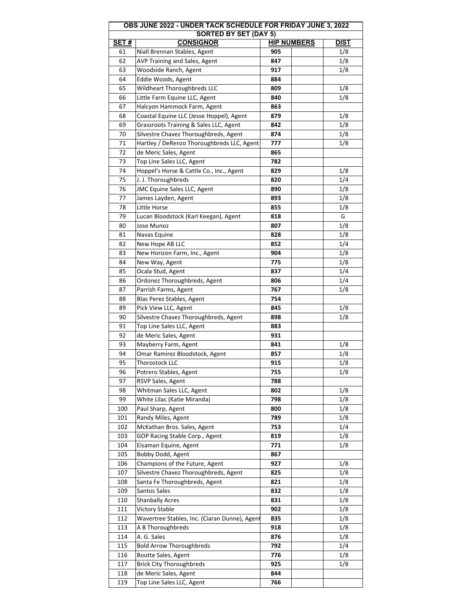| OBS JUNE 2022 - UNDER TACK SCHEDULE FOR FRIDAY JUNE 3, 2022<br><b>SORTED BY SET (DAY 5)</b> |                                                 |                    |             |  |  |
|---------------------------------------------------------------------------------------------|-------------------------------------------------|--------------------|-------------|--|--|
| SET#                                                                                        | <b>CONSIGNOR</b>                                | <b>HIP NUMBERS</b> | <b>DIST</b> |  |  |
| 61                                                                                          | Niall Brennan Stables, Agent                    | 905                | 1/8         |  |  |
| 62                                                                                          | AVP Training and Sales, Agent                   | 847                | 1/8         |  |  |
| 63                                                                                          | Woodside Ranch, Agent                           | 917                | 1/8         |  |  |
| 64                                                                                          | Eddie Woods, Agent                              | 884                |             |  |  |
| 65                                                                                          | Wildheart Thoroughbreds LLC                     | 809                | 1/8         |  |  |
| 66                                                                                          | Little Farm Equine LLC, Agent                   | 840                | 1/8         |  |  |
| 67                                                                                          | Halcyon Hammock Farm, Agent                     | 863                |             |  |  |
| 68                                                                                          | Coastal Equine LLC (Jesse Hoppel), Agent        | 879                | 1/8         |  |  |
| 69                                                                                          | Grassroots Training & Sales LLC, Agent          | 842                | 1/8         |  |  |
| 70                                                                                          | Silvestre Chavez Thoroughbreds, Agent           | 874                | 1/8         |  |  |
| 71                                                                                          | Hartley / DeRenzo Thoroughbreds LLC, Agent      | 777                | 1/8         |  |  |
| 72                                                                                          | de Meric Sales, Agent                           | 865                |             |  |  |
| 73                                                                                          | Top Line Sales LLC, Agent                       | 782                |             |  |  |
| 74                                                                                          | Hoppel's Horse & Cattle Co., Inc., Agent        | 829                | 1/8         |  |  |
| 75                                                                                          | J. J. Thoroughbreds                             | 820                | 1/4         |  |  |
| 76                                                                                          | JMC Equine Sales LLC, Agent                     | 890                | 1/8         |  |  |
| 77                                                                                          | James Layden, Agent                             | 893                | 1/8         |  |  |
| 78                                                                                          | Little Horse                                    | 855                | 1/8         |  |  |
| 79                                                                                          | Lucan Bloodstock (Karl Keegan), Agent           | 818                | G           |  |  |
| 80                                                                                          | Jose Munoz                                      | 807                | 1/8         |  |  |
| 81                                                                                          | Navas Equine                                    | 828                | 1/8         |  |  |
| 82                                                                                          | New Hope AB LLC                                 | 852                | 1/4         |  |  |
| 83                                                                                          | New Horizon Farm, Inc., Agent                   | 904                | 1/8         |  |  |
| 84                                                                                          | New Way, Agent                                  | 775                | 1/8         |  |  |
| 85                                                                                          | Ocala Stud, Agent                               | 837                | 1/4         |  |  |
| 86                                                                                          | Ordonez Thoroughbreds, Agent                    | 806                | 1/4         |  |  |
| 87                                                                                          | Parrish Farms, Agent                            | 767                | 1/8         |  |  |
| 88                                                                                          | Blas Perez Stables, Agent                       | 754                |             |  |  |
| 89                                                                                          | Pick View LLC, Agent                            | 845                | 1/8         |  |  |
| 90                                                                                          | Silvestre Chavez Thoroughbreds, Agent           | 898                | 1/8         |  |  |
| 91                                                                                          | Top Line Sales LLC, Agent                       | 883                |             |  |  |
| 92                                                                                          | de Meric Sales, Agent                           | 931                |             |  |  |
| 93                                                                                          | Mayberry Farm, Agent                            | 841                | 1/8         |  |  |
| 94                                                                                          | Omar Ramirez Bloodstock, Agent                  | 857                | 1/8         |  |  |
| 95                                                                                          | <b>Thorostock LLC</b>                           | 915                | 1/8         |  |  |
| 96                                                                                          | Potrero Stables, Agent                          | 755                | 1/8         |  |  |
| 97                                                                                          | RSVP Sales, Agent                               | 788                |             |  |  |
| 98                                                                                          | Whitman Sales LLC, Agent                        | 802                | 1/8         |  |  |
| 99                                                                                          | White Lilac (Katie Miranda)                     | 798                | 1/8         |  |  |
| 100                                                                                         | Paul Sharp, Agent                               | 800                | 1/8         |  |  |
| 101                                                                                         | Randy Miles, Agent                              | 789                | 1/8         |  |  |
| 102                                                                                         | McKathan Bros. Sales, Agent                     | 753                | 1/4         |  |  |
| 103                                                                                         | GOP Racing Stable Corp., Agent                  | 819                | 1/8         |  |  |
| 104                                                                                         | Eisaman Equine, Agent                           | 771                | 1/8         |  |  |
| 105                                                                                         | Bobby Dodd, Agent                               | 867                |             |  |  |
| 106                                                                                         | Champions of the Future, Agent                  | 927                | 1/8         |  |  |
| 107                                                                                         | Silvestre Chavez Thoroughbreds, Agent           | 825                | 1/8         |  |  |
| 108                                                                                         | Santa Fe Thoroughbreds, Agent                   | 821                | 1/8         |  |  |
| 109                                                                                         | Santos Sales                                    | 832                | 1/8         |  |  |
| 110                                                                                         | <b>Shanbally Acres</b><br><b>Victory Stable</b> | 831<br>902         | 1/8         |  |  |
| 111<br>112                                                                                  | Wavertree Stables, Inc. (Ciaran Dunne), Agent   | 835                | 1/8         |  |  |
| 113                                                                                         | A B Thoroughbreds                               |                    | 1/8         |  |  |
| 114                                                                                         | A. G. Sales                                     | 918<br>876         | 1/8<br>1/8  |  |  |
| 115                                                                                         | <b>Bold Arrow Thoroughbreds</b>                 | 792                | 1/4         |  |  |
| 116                                                                                         | <b>Boutte Sales, Agent</b>                      | 776                | 1/8         |  |  |
| 117                                                                                         | <b>Brick City Thoroughbreds</b>                 | 925                | 1/8         |  |  |
| 118                                                                                         | de Meric Sales, Agent                           | 844                |             |  |  |
| 119                                                                                         | Top Line Sales LLC, Agent                       | 766                |             |  |  |
|                                                                                             |                                                 |                    |             |  |  |